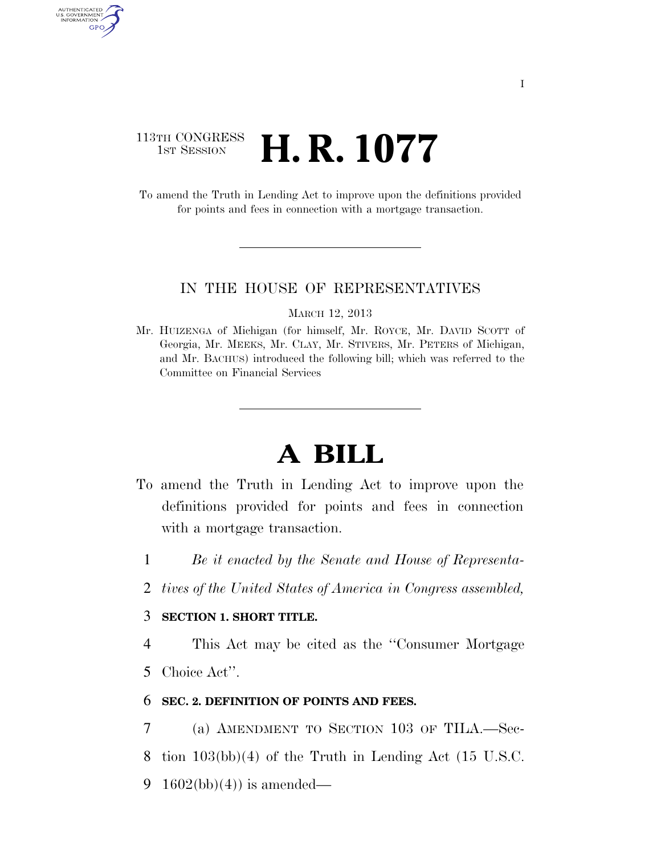## 113TH CONGRESS **1st Session H. R. 1077**

AUTHENTICATED<br>U.S. GOVERNMENT<br>INFORMATION GPO

> To amend the Truth in Lending Act to improve upon the definitions provided for points and fees in connection with a mortgage transaction.

#### IN THE HOUSE OF REPRESENTATIVES

MARCH 12, 2013

Mr. HUIZENGA of Michigan (for himself, Mr. ROYCE, Mr. DAVID SCOTT of Georgia, Mr. MEEKS, Mr. CLAY, Mr. STIVERS, Mr. PETERS of Michigan, and Mr. BACHUS) introduced the following bill; which was referred to the Committee on Financial Services

# **A BILL**

- To amend the Truth in Lending Act to improve upon the definitions provided for points and fees in connection with a mortgage transaction.
	- 1 *Be it enacted by the Senate and House of Representa-*
	- 2 *tives of the United States of America in Congress assembled,*

### 3 **SECTION 1. SHORT TITLE.**

4 This Act may be cited as the ''Consumer Mortgage 5 Choice Act''.

### 6 **SEC. 2. DEFINITION OF POINTS AND FEES.**

7 (a) AMENDMENT TO SECTION 103 OF TILA.—Sec-8 tion 103(bb)(4) of the Truth in Lending Act (15 U.S.C. 9 1602(bb)(4)) is amended—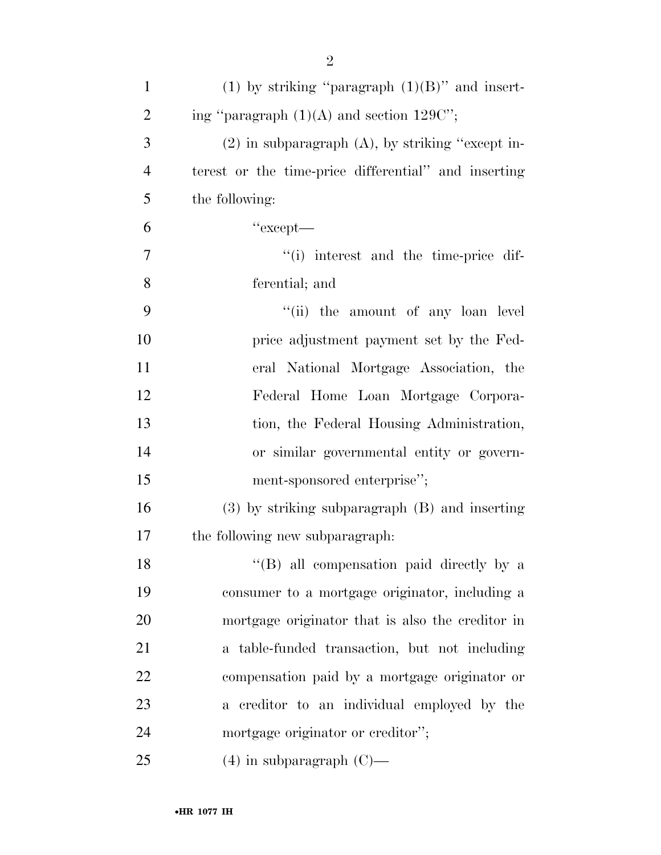| $\mathbf{1}$   | (1) by striking "paragraph $(1)(B)$ " and insert-     |
|----------------|-------------------------------------------------------|
| $\overline{c}$ | ing "paragraph $(1)(A)$ and section $129C$ ";         |
| 3              | $(2)$ in subparagraph $(A)$ , by striking "except in- |
| $\overline{4}$ | terest or the time-price differential" and inserting  |
| 5              | the following:                                        |
| 6              | "except-                                              |
| $\tau$         | "(i) interest and the time-price dif-                 |
| 8              | ferential; and                                        |
| 9              | "(ii) the amount of any loan level                    |
| 10             | price adjustment payment set by the Fed-              |
| 11             | eral National Mortgage Association, the               |
| 12             | Federal Home Loan Mortgage Corpora-                   |
| 13             | tion, the Federal Housing Administration,             |
| 14             | or similar governmental entity or govern-             |
| 15             | ment-sponsored enterprise";                           |
| 16             | $(3)$ by striking subparagraph $(B)$ and inserting    |
| 17             | the following new subparagraph.                       |
| 18             | "(B) all compensation paid directly by a              |
| 19             | consumer to a mortgage originator, including a        |
| 20             | mortgage originator that is also the creditor in      |
| 21             | a table-funded transaction, but not including         |
| 22             | compensation paid by a mortgage originator or         |
| 23             | creditor to an individual employed by the<br>a        |
| 24             | mortgage originator or creditor";                     |
| 25             | $(4)$ in subparagraph $(C)$ —                         |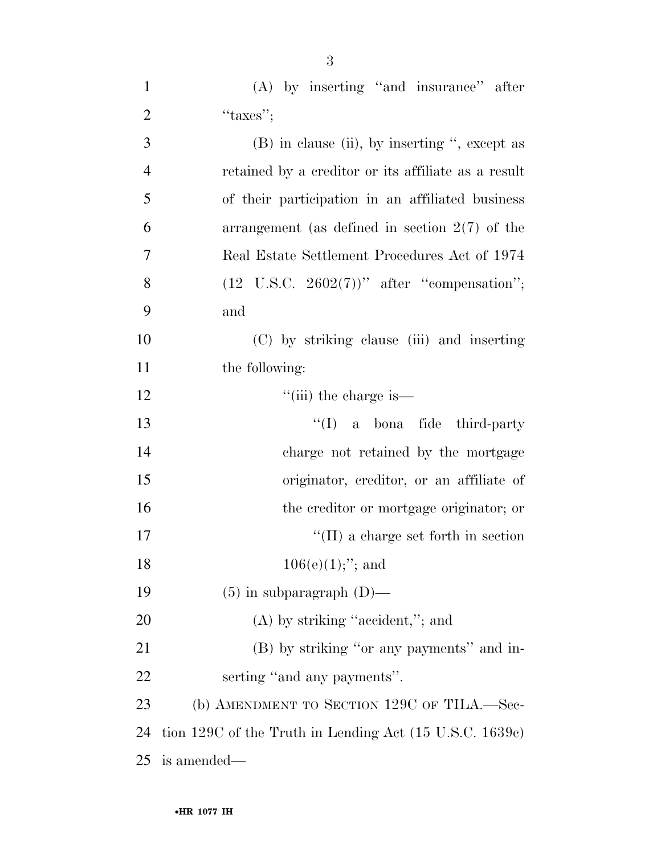| $\mathbf{1}$   | (A) by inserting "and insurance" after                  |
|----------------|---------------------------------------------------------|
| $\overline{2}$ | "taxes";                                                |
| $\mathfrak{Z}$ | $(B)$ in clause (ii), by inserting ", except as         |
| $\overline{4}$ | retained by a creditor or its affiliate as a result     |
| 5              | of their participation in an affiliated business        |
| 6              | arrangement (as defined in section $2(7)$ of the        |
| 7              | Real Estate Settlement Procedures Act of 1974           |
| 8              | $(12 \text{ U.S.C. } 2602(7))$ " after "compensation";  |
| 9              | and                                                     |
| 10             | (C) by striking clause (iii) and inserting              |
| 11             | the following:                                          |
| 12             | $\lq\lq$ (iii) the charge is—                           |
| 13             | $\lq\lq$ (I) a bona fide third-party                    |
| 14             | charge not retained by the mortgage                     |
| 15             | originator, creditor, or an affiliate of                |
| 16             | the creditor or mortgage originator; or                 |
| 17             | $\lq\lq$ (II) a charge set forth in section             |
| 18             | $106(e)(1);$ "; and                                     |
| 19             | $(5)$ in subparagraph $(D)$ —                           |
| 20             | $(A)$ by striking "accident,"; and                      |
| 21             | (B) by striking "or any payments" and in-               |
| 22             | serting "and any payments".                             |
| 23             | (b) AMENDMENT TO SECTION 129C OF TILA.—Sec-             |
| 24             | tion 129C of the Truth in Lending Act (15 U.S.C. 1639c) |
| 25             | is amended—                                             |

3